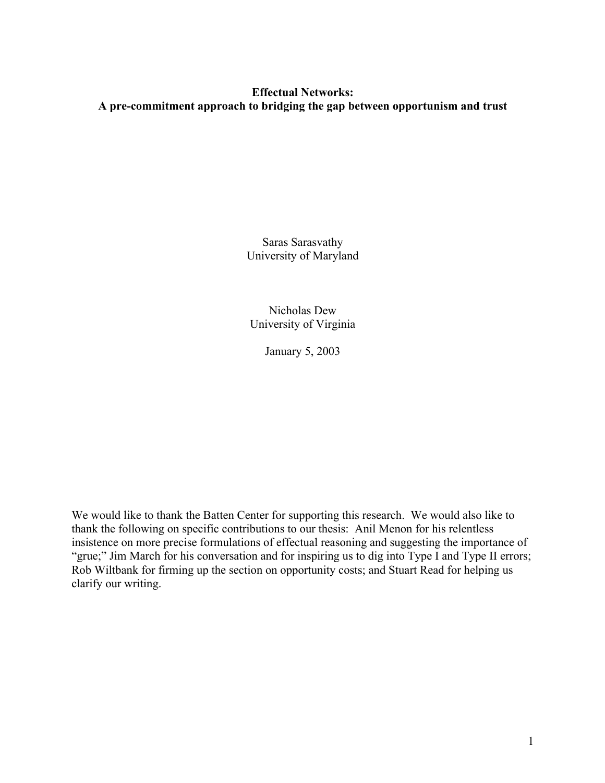# **Effectual Networks: A pre-commitment approach to bridging the gap between opportunism and trust**

Saras Sarasvathy University of Maryland

Nicholas Dew University of Virginia

January 5, 2003

We would like to thank the Batten Center for supporting this research. We would also like to thank the following on specific contributions to our thesis: Anil Menon for his relentless insistence on more precise formulations of effectual reasoning and suggesting the importance of "grue;" Jim March for his conversation and for inspiring us to dig into Type I and Type II errors; Rob Wiltbank for firming up the section on opportunity costs; and Stuart Read for helping us clarify our writing.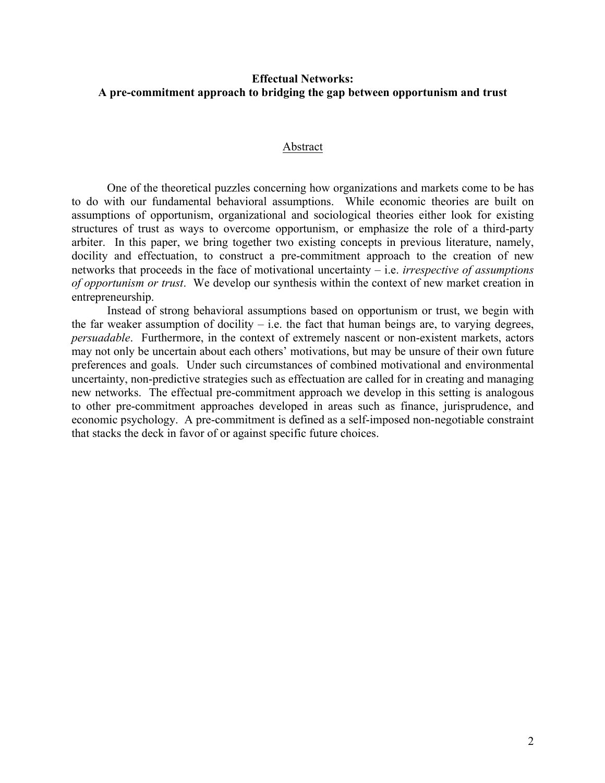### **Effectual Networks: A pre-commitment approach to bridging the gap between opportunism and trust**

#### Abstract

One of the theoretical puzzles concerning how organizations and markets come to be has to do with our fundamental behavioral assumptions. While economic theories are built on assumptions of opportunism, organizational and sociological theories either look for existing structures of trust as ways to overcome opportunism, or emphasize the role of a third-party arbiter. In this paper, we bring together two existing concepts in previous literature, namely, docility and effectuation, to construct a pre-commitment approach to the creation of new networks that proceeds in the face of motivational uncertainty – i.e. *irrespective of assumptions of opportunism or trust*. We develop our synthesis within the context of new market creation in entrepreneurship.

Instead of strong behavioral assumptions based on opportunism or trust, we begin with the far weaker assumption of docility  $-$  i.e. the fact that human beings are, to varying degrees, *persuadable*. Furthermore, in the context of extremely nascent or non-existent markets, actors may not only be uncertain about each others' motivations, but may be unsure of their own future preferences and goals. Under such circumstances of combined motivational and environmental uncertainty, non-predictive strategies such as effectuation are called for in creating and managing new networks. The effectual pre-commitment approach we develop in this setting is analogous to other pre-commitment approaches developed in areas such as finance, jurisprudence, and economic psychology. A pre-commitment is defined as a self-imposed non-negotiable constraint that stacks the deck in favor of or against specific future choices.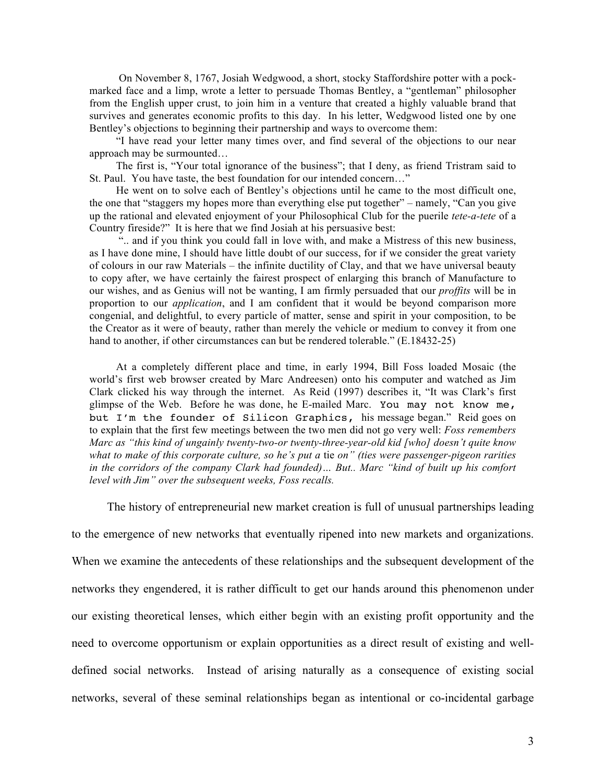On November 8, 1767, Josiah Wedgwood, a short, stocky Staffordshire potter with a pockmarked face and a limp, wrote a letter to persuade Thomas Bentley, a "gentleman" philosopher from the English upper crust, to join him in a venture that created a highly valuable brand that survives and generates economic profits to this day. In his letter, Wedgwood listed one by one Bentley's objections to beginning their partnership and ways to overcome them:

"I have read your letter many times over, and find several of the objections to our near approach may be surmounted…

The first is, "Your total ignorance of the business"; that I deny, as friend Tristram said to St. Paul. You have taste, the best foundation for our intended concern…"

He went on to solve each of Bentley's objections until he came to the most difficult one, the one that "staggers my hopes more than everything else put together" – namely, "Can you give up the rational and elevated enjoyment of your Philosophical Club for the puerile *tete-a-tete* of a Country fireside?" It is here that we find Josiah at his persuasive best:

".. and if you think you could fall in love with, and make a Mistress of this new business, as I have done mine, I should have little doubt of our success, for if we consider the great variety of colours in our raw Materials – the infinite ductility of Clay, and that we have universal beauty to copy after, we have certainly the fairest prospect of enlarging this branch of Manufacture to our wishes, and as Genius will not be wanting, I am firmly persuaded that our *proffits* will be in proportion to our *application*, and I am confident that it would be beyond comparison more congenial, and delightful, to every particle of matter, sense and spirit in your composition, to be the Creator as it were of beauty, rather than merely the vehicle or medium to convey it from one hand to another, if other circumstances can but be rendered tolerable." (E.18432-25)

At a completely different place and time, in early 1994, Bill Foss loaded Mosaic (the world's first web browser created by Marc Andreesen) onto his computer and watched as Jim Clark clicked his way through the internet. As Reid (1997) describes it, "It was Clark's first glimpse of the Web. Before he was done, he E-mailed Marc. You may not know me, but I'm the founder of Silicon Graphics, his message began." Reid goes on to explain that the first few meetings between the two men did not go very well: *Foss remembers Marc as "this kind of ungainly twenty-two-or twenty-three-year-old kid [who] doesn't quite know what to make of this corporate culture, so he's put a* tie *on" (ties were passenger-pigeon rarities in the corridors of the company Clark had founded)… But.. Marc "kind of built up his comfort level with Jim" over the subsequent weeks, Foss recalls.*

The history of entrepreneurial new market creation is full of unusual partnerships leading

to the emergence of new networks that eventually ripened into new markets and organizations. When we examine the antecedents of these relationships and the subsequent development of the networks they engendered, it is rather difficult to get our hands around this phenomenon under our existing theoretical lenses, which either begin with an existing profit opportunity and the need to overcome opportunism or explain opportunities as a direct result of existing and welldefined social networks. Instead of arising naturally as a consequence of existing social networks, several of these seminal relationships began as intentional or co-incidental garbage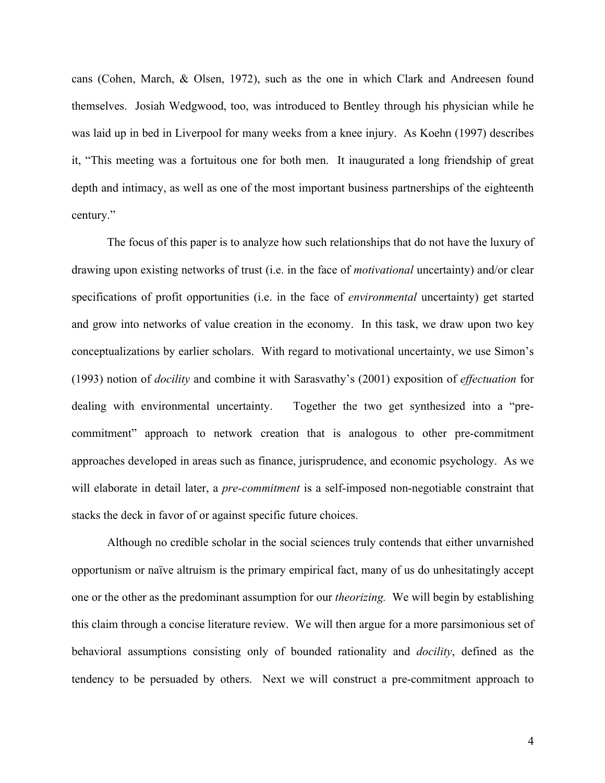cans (Cohen, March, & Olsen, 1972), such as the one in which Clark and Andreesen found themselves. Josiah Wedgwood, too, was introduced to Bentley through his physician while he was laid up in bed in Liverpool for many weeks from a knee injury. As Koehn (1997) describes it, "This meeting was a fortuitous one for both men. It inaugurated a long friendship of great depth and intimacy, as well as one of the most important business partnerships of the eighteenth century."

The focus of this paper is to analyze how such relationships that do not have the luxury of drawing upon existing networks of trust (i.e. in the face of *motivational* uncertainty) and/or clear specifications of profit opportunities (i.e. in the face of *environmental* uncertainty) get started and grow into networks of value creation in the economy. In this task, we draw upon two key conceptualizations by earlier scholars. With regard to motivational uncertainty, we use Simon's (1993) notion of *docility* and combine it with Sarasvathy's (2001) exposition of *effectuation* for dealing with environmental uncertainty. Together the two get synthesized into a "precommitment" approach to network creation that is analogous to other pre-commitment approaches developed in areas such as finance, jurisprudence, and economic psychology. As we will elaborate in detail later, a *pre-commitment* is a self-imposed non-negotiable constraint that stacks the deck in favor of or against specific future choices.

Although no credible scholar in the social sciences truly contends that either unvarnished opportunism or naïve altruism is the primary empirical fact, many of us do unhesitatingly accept one or the other as the predominant assumption for our *theorizing.* We will begin by establishing this claim through a concise literature review. We will then argue for a more parsimonious set of behavioral assumptions consisting only of bounded rationality and *docility*, defined as the tendency to be persuaded by others. Next we will construct a pre-commitment approach to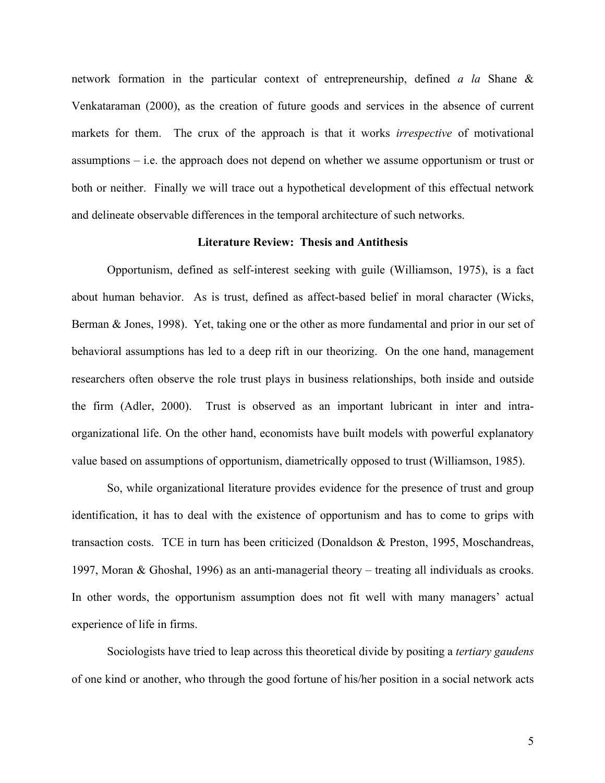network formation in the particular context of entrepreneurship, defined *a la* Shane & Venkataraman (2000), as the creation of future goods and services in the absence of current markets for them. The crux of the approach is that it works *irrespective* of motivational assumptions – i.e. the approach does not depend on whether we assume opportunism or trust or both or neither. Finally we will trace out a hypothetical development of this effectual network and delineate observable differences in the temporal architecture of such networks.

### **Literature Review: Thesis and Antithesis**

Opportunism, defined as self-interest seeking with guile (Williamson, 1975), is a fact about human behavior. As is trust, defined as affect-based belief in moral character (Wicks, Berman & Jones, 1998). Yet, taking one or the other as more fundamental and prior in our set of behavioral assumptions has led to a deep rift in our theorizing. On the one hand, management researchers often observe the role trust plays in business relationships, both inside and outside the firm (Adler, 2000). Trust is observed as an important lubricant in inter and intraorganizational life. On the other hand, economists have built models with powerful explanatory value based on assumptions of opportunism, diametrically opposed to trust (Williamson, 1985).

So, while organizational literature provides evidence for the presence of trust and group identification, it has to deal with the existence of opportunism and has to come to grips with transaction costs. TCE in turn has been criticized (Donaldson & Preston, 1995, Moschandreas, 1997, Moran & Ghoshal, 1996) as an anti-managerial theory – treating all individuals as crooks. In other words, the opportunism assumption does not fit well with many managers' actual experience of life in firms.

Sociologists have tried to leap across this theoretical divide by positing a *tertiary gaudens* of one kind or another, who through the good fortune of his/her position in a social network acts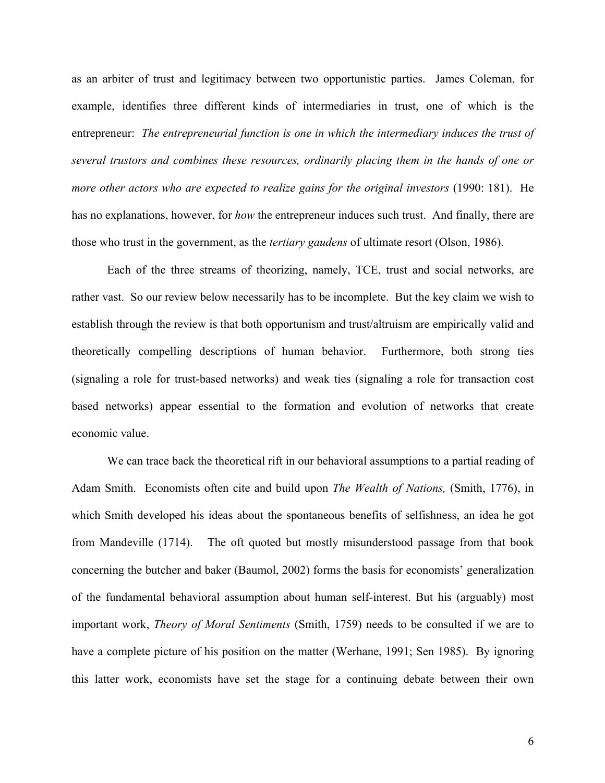as an arbiter of trust and legitimacy between two opportunistic parties. James Coleman, for example, identifies three different kinds of intermediaries in trust, one of which is the entrepreneur: *The entrepreneurial function is one in which the intermediary induces the trust of several trustors and combines these resources, ordinarily placing them in the hands of one or more other actors who are expected to realize gains for the original investors* (1990: 181). He has no explanations, however, for *how* the entrepreneur induces such trust. And finally, there are those who trust in the government, as the *tertiary gaudens* of ultimate resort (Olson, 1986).

Each of the three streams of theorizing, namely, TCE, trust and social networks, are rather vast. So our review below necessarily has to be incomplete. But the key claim we wish to establish through the review is that both opportunism and trust/altruism are empirically valid and theoretically compelling descriptions of human behavior. Furthermore, both strong ties (signaling a role for trust-based networks) and weak ties (signaling a role for transaction cost based networks) appear essential to the formation and evolution of networks that create economic value.

We can trace back the theoretical rift in our behavioral assumptions to a partial reading of Adam Smith. Economists often cite and build upon *The Wealth of Nations,* (Smith, 1776), in which Smith developed his ideas about the spontaneous benefits of selfishness, an idea he got from Mandeville (1714). The oft quoted but mostly misunderstood passage from that book concerning the butcher and baker (Baumol, 2002) forms the basis for economists' generalization of the fundamental behavioral assumption about human self-interest. But his (arguably) most important work, *Theory of Moral Sentiments* (Smith, 1759) needs to be consulted if we are to have a complete picture of his position on the matter (Werhane, 1991; Sen 1985). By ignoring this latter work, economists have set the stage for a continuing debate between their own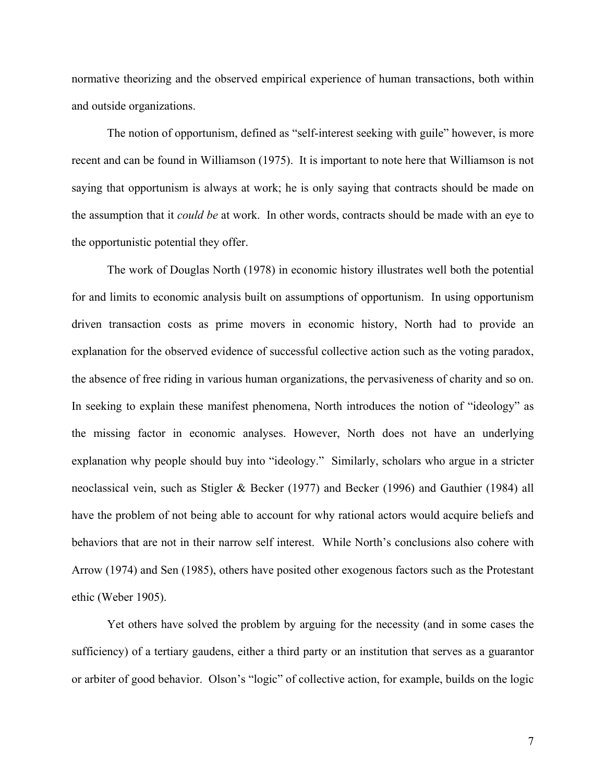normative theorizing and the observed empirical experience of human transactions, both within and outside organizations.

The notion of opportunism, defined as "self-interest seeking with guile" however, is more recent and can be found in Williamson (1975). It is important to note here that Williamson is not saying that opportunism is always at work; he is only saying that contracts should be made on the assumption that it *could be* at work. In other words, contracts should be made with an eye to the opportunistic potential they offer.

The work of Douglas North (1978) in economic history illustrates well both the potential for and limits to economic analysis built on assumptions of opportunism. In using opportunism driven transaction costs as prime movers in economic history, North had to provide an explanation for the observed evidence of successful collective action such as the voting paradox, the absence of free riding in various human organizations, the pervasiveness of charity and so on. In seeking to explain these manifest phenomena, North introduces the notion of "ideology" as the missing factor in economic analyses. However, North does not have an underlying explanation why people should buy into "ideology." Similarly, scholars who argue in a stricter neoclassical vein, such as Stigler & Becker (1977) and Becker (1996) and Gauthier (1984) all have the problem of not being able to account for why rational actors would acquire beliefs and behaviors that are not in their narrow self interest. While North's conclusions also cohere with Arrow (1974) and Sen (1985), others have posited other exogenous factors such as the Protestant ethic (Weber 1905).

Yet others have solved the problem by arguing for the necessity (and in some cases the sufficiency) of a tertiary gaudens, either a third party or an institution that serves as a guarantor or arbiter of good behavior. Olson's "logic" of collective action, for example, builds on the logic

7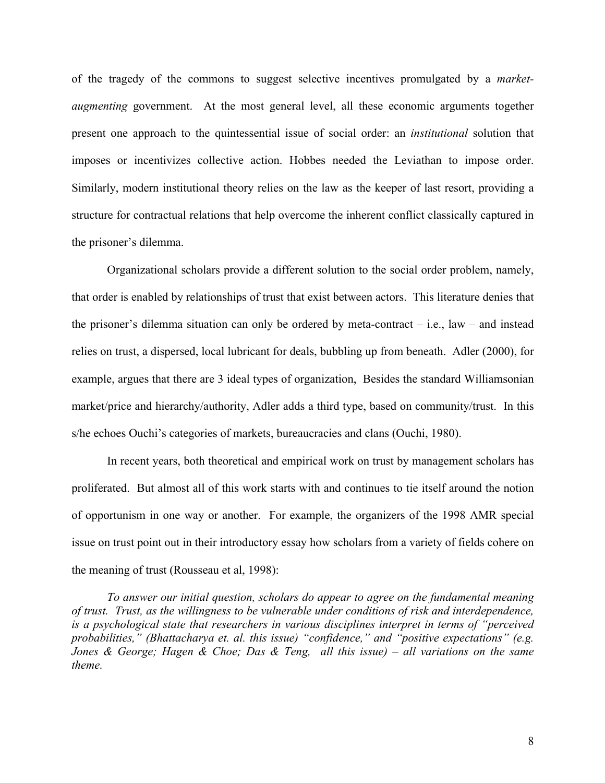of the tragedy of the commons to suggest selective incentives promulgated by a *marketaugmenting* government. At the most general level, all these economic arguments together present one approach to the quintessential issue of social order: an *institutional* solution that imposes or incentivizes collective action. Hobbes needed the Leviathan to impose order. Similarly, modern institutional theory relies on the law as the keeper of last resort, providing a structure for contractual relations that help overcome the inherent conflict classically captured in the prisoner's dilemma.

Organizational scholars provide a different solution to the social order problem, namely, that order is enabled by relationships of trust that exist between actors. This literature denies that the prisoner's dilemma situation can only be ordered by meta-contract  $-$  i.e., law  $-$  and instead relies on trust, a dispersed, local lubricant for deals, bubbling up from beneath. Adler (2000), for example, argues that there are 3 ideal types of organization, Besides the standard Williamsonian market/price and hierarchy/authority, Adler adds a third type, based on community/trust. In this s/he echoes Ouchi's categories of markets, bureaucracies and clans (Ouchi, 1980).

In recent years, both theoretical and empirical work on trust by management scholars has proliferated. But almost all of this work starts with and continues to tie itself around the notion of opportunism in one way or another. For example, the organizers of the 1998 AMR special issue on trust point out in their introductory essay how scholars from a variety of fields cohere on the meaning of trust (Rousseau et al, 1998):

*To answer our initial question, scholars do appear to agree on the fundamental meaning of trust. Trust, as the willingness to be vulnerable under conditions of risk and interdependence, is a psychological state that researchers in various disciplines interpret in terms of "perceived probabilities," (Bhattacharya et. al. this issue) "confidence," and "positive expectations" (e.g. Jones & George; Hagen & Choe; Das & Teng, all this issue) – all variations on the same theme.*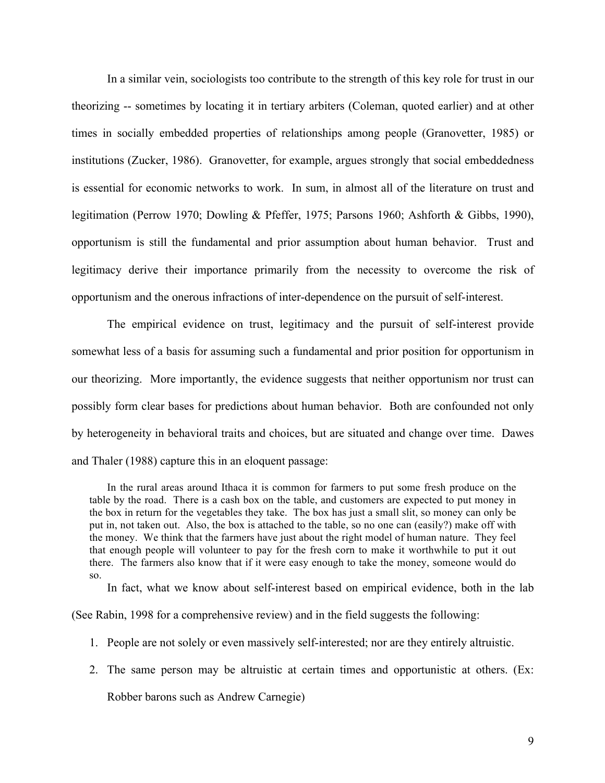In a similar vein, sociologists too contribute to the strength of this key role for trust in our theorizing -- sometimes by locating it in tertiary arbiters (Coleman, quoted earlier) and at other times in socially embedded properties of relationships among people (Granovetter, 1985) or institutions (Zucker, 1986). Granovetter, for example, argues strongly that social embeddedness is essential for economic networks to work. In sum, in almost all of the literature on trust and legitimation (Perrow 1970; Dowling & Pfeffer, 1975; Parsons 1960; Ashforth & Gibbs, 1990), opportunism is still the fundamental and prior assumption about human behavior. Trust and legitimacy derive their importance primarily from the necessity to overcome the risk of opportunism and the onerous infractions of inter-dependence on the pursuit of self-interest.

The empirical evidence on trust, legitimacy and the pursuit of self-interest provide somewhat less of a basis for assuming such a fundamental and prior position for opportunism in our theorizing. More importantly, the evidence suggests that neither opportunism nor trust can possibly form clear bases for predictions about human behavior. Both are confounded not only by heterogeneity in behavioral traits and choices, but are situated and change over time. Dawes and Thaler (1988) capture this in an eloquent passage:

In the rural areas around Ithaca it is common for farmers to put some fresh produce on the table by the road. There is a cash box on the table, and customers are expected to put money in the box in return for the vegetables they take. The box has just a small slit, so money can only be put in, not taken out. Also, the box is attached to the table, so no one can (easily?) make off with the money. We think that the farmers have just about the right model of human nature. They feel that enough people will volunteer to pay for the fresh corn to make it worthwhile to put it out there. The farmers also know that if it were easy enough to take the money, someone would do so.

In fact, what we know about self-interest based on empirical evidence, both in the lab

(See Rabin, 1998 for a comprehensive review) and in the field suggests the following:

- 1. People are not solely or even massively self-interested; nor are they entirely altruistic.
- 2. The same person may be altruistic at certain times and opportunistic at others. (Ex:

Robber barons such as Andrew Carnegie)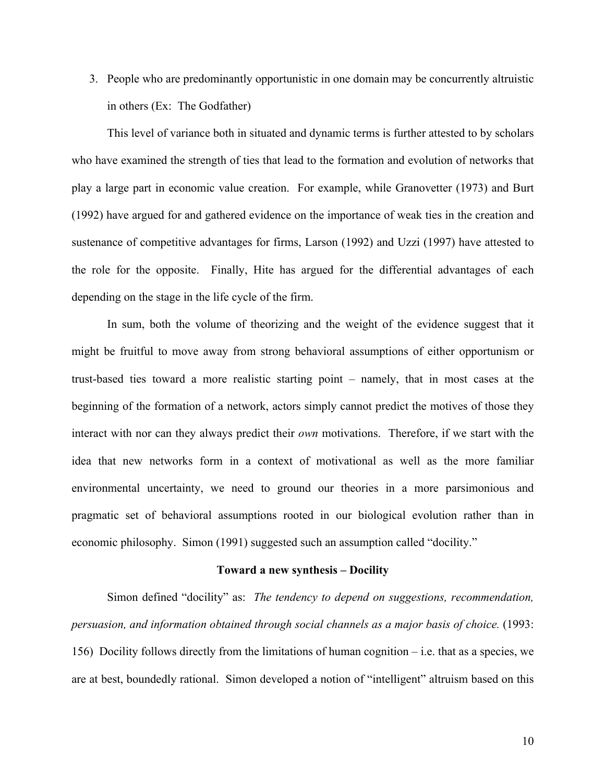3. People who are predominantly opportunistic in one domain may be concurrently altruistic in others (Ex: The Godfather)

This level of variance both in situated and dynamic terms is further attested to by scholars who have examined the strength of ties that lead to the formation and evolution of networks that play a large part in economic value creation. For example, while Granovetter (1973) and Burt (1992) have argued for and gathered evidence on the importance of weak ties in the creation and sustenance of competitive advantages for firms, Larson (1992) and Uzzi (1997) have attested to the role for the opposite. Finally, Hite has argued for the differential advantages of each depending on the stage in the life cycle of the firm.

In sum, both the volume of theorizing and the weight of the evidence suggest that it might be fruitful to move away from strong behavioral assumptions of either opportunism or trust-based ties toward a more realistic starting point – namely, that in most cases at the beginning of the formation of a network, actors simply cannot predict the motives of those they interact with nor can they always predict their *own* motivations. Therefore, if we start with the idea that new networks form in a context of motivational as well as the more familiar environmental uncertainty, we need to ground our theories in a more parsimonious and pragmatic set of behavioral assumptions rooted in our biological evolution rather than in economic philosophy. Simon (1991) suggested such an assumption called "docility."

#### **Toward a new synthesis – Docility**

Simon defined "docility" as: *The tendency to depend on suggestions, recommendation, persuasion, and information obtained through social channels as a major basis of choice.* (1993: 156) Docility follows directly from the limitations of human cognition – i.e. that as a species, we are at best, boundedly rational. Simon developed a notion of "intelligent" altruism based on this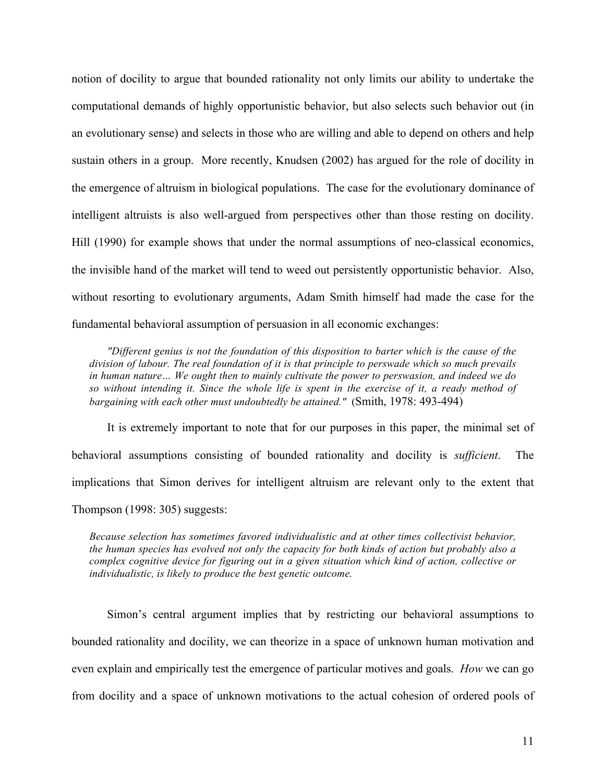notion of docility to argue that bounded rationality not only limits our ability to undertake the computational demands of highly opportunistic behavior, but also selects such behavior out (in an evolutionary sense) and selects in those who are willing and able to depend on others and help sustain others in a group. More recently, Knudsen (2002) has argued for the role of docility in the emergence of altruism in biological populations. The case for the evolutionary dominance of intelligent altruists is also well-argued from perspectives other than those resting on docility. Hill (1990) for example shows that under the normal assumptions of neo-classical economics, the invisible hand of the market will tend to weed out persistently opportunistic behavior. Also, without resorting to evolutionary arguments, Adam Smith himself had made the case for the fundamental behavioral assumption of persuasion in all economic exchanges:

*"Different genius is not the foundation of this disposition to barter which is the cause of the division of labour. The real foundation of it is that principle to perswade which so much prevails in human nature… We ought then to mainly cultivate the power to perswasion, and indeed we do so without intending it. Since the whole life is spent in the exercise of it, a ready method of bargaining with each other must undoubtedly be attained."* (Smith, 1978: 493-494)

It is extremely important to note that for our purposes in this paper, the minimal set of behavioral assumptions consisting of bounded rationality and docility is *sufficient*. The implications that Simon derives for intelligent altruism are relevant only to the extent that Thompson (1998: 305) suggests:

*Because selection has sometimes favored individualistic and at other times collectivist behavior, the human species has evolved not only the capacity for both kinds of action but probably also a complex cognitive device for figuring out in a given situation which kind of action, collective or individualistic, is likely to produce the best genetic outcome.*

Simon's central argument implies that by restricting our behavioral assumptions to bounded rationality and docility, we can theorize in a space of unknown human motivation and even explain and empirically test the emergence of particular motives and goals. *How* we can go from docility and a space of unknown motivations to the actual cohesion of ordered pools of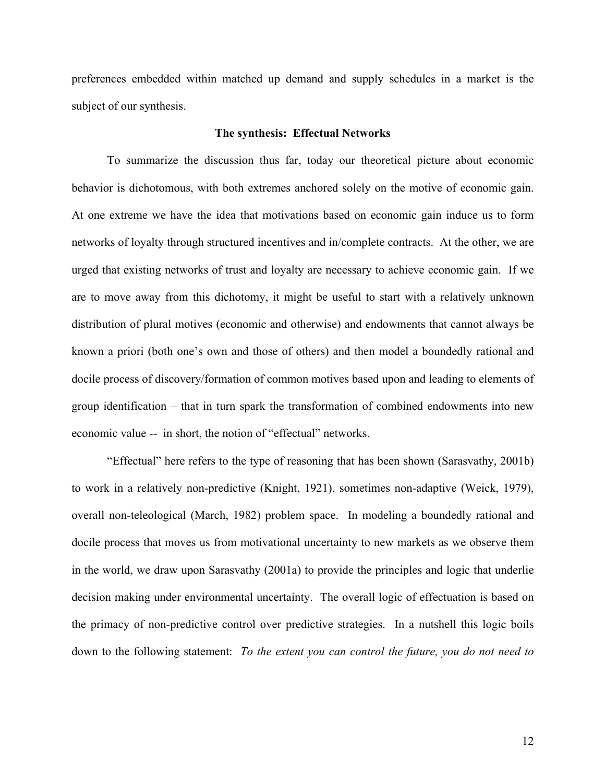preferences embedded within matched up demand and supply schedules in a market is the subject of our synthesis.

#### **The synthesis: Effectual Networks**

To summarize the discussion thus far, today our theoretical picture about economic behavior is dichotomous, with both extremes anchored solely on the motive of economic gain. At one extreme we have the idea that motivations based on economic gain induce us to form networks of loyalty through structured incentives and in/complete contracts. At the other, we are urged that existing networks of trust and loyalty are necessary to achieve economic gain. If we are to move away from this dichotomy, it might be useful to start with a relatively unknown distribution of plural motives (economic and otherwise) and endowments that cannot always be known a priori (both one's own and those of others) and then model a boundedly rational and docile process of discovery/formation of common motives based upon and leading to elements of group identification – that in turn spark the transformation of combined endowments into new economic value -- in short, the notion of "effectual" networks.

"Effectual" here refers to the type of reasoning that has been shown (Sarasvathy, 2001b) to work in a relatively non-predictive (Knight, 1921), sometimes non-adaptive (Weick, 1979), overall non-teleological (March, 1982) problem space. In modeling a boundedly rational and docile process that moves us from motivational uncertainty to new markets as we observe them in the world, we draw upon Sarasvathy (2001a) to provide the principles and logic that underlie decision making under environmental uncertainty. The overall logic of effectuation is based on the primacy of non-predictive control over predictive strategies. In a nutshell this logic boils down to the following statement: *To the extent you can control the future, you do not need to*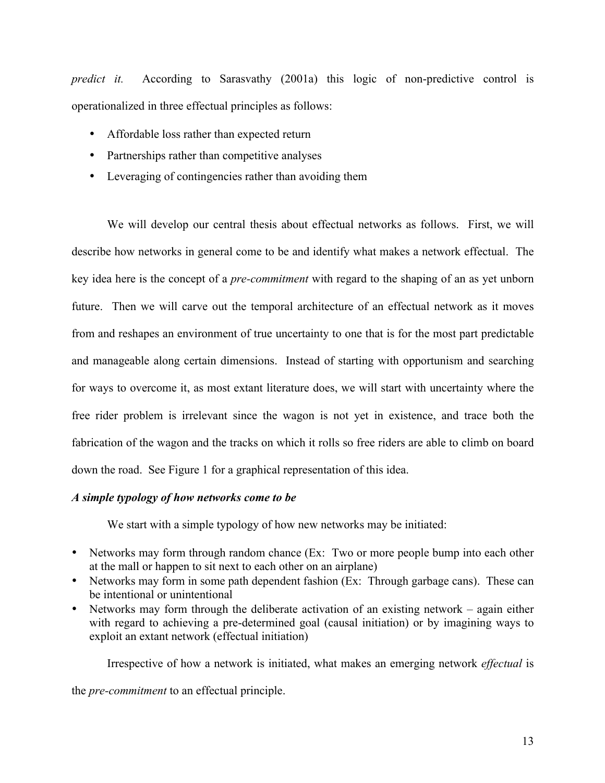*predict it.* According to Sarasvathy (2001a) this logic of non-predictive control is operationalized in three effectual principles as follows:

- Affordable loss rather than expected return
- Partnerships rather than competitive analyses
- Leveraging of contingencies rather than avoiding them

We will develop our central thesis about effectual networks as follows. First, we will describe how networks in general come to be and identify what makes a network effectual. The key idea here is the concept of a *pre-commitment* with regard to the shaping of an as yet unborn future. Then we will carve out the temporal architecture of an effectual network as it moves from and reshapes an environment of true uncertainty to one that is for the most part predictable and manageable along certain dimensions. Instead of starting with opportunism and searching for ways to overcome it, as most extant literature does, we will start with uncertainty where the free rider problem is irrelevant since the wagon is not yet in existence, and trace both the fabrication of the wagon and the tracks on which it rolls so free riders are able to climb on board down the road. See Figure 1 for a graphical representation of this idea.

### *A simple typology of how networks come to be*

We start with a simple typology of how new networks may be initiated:

- Networks may form through random chance (Ex: Two or more people bump into each other at the mall or happen to sit next to each other on an airplane)
- Networks may form in some path dependent fashion (Ex: Through garbage cans). These can be intentional or unintentional
- Networks may form through the deliberate activation of an existing network again either with regard to achieving a pre-determined goal (causal initiation) or by imagining ways to exploit an extant network (effectual initiation)

Irrespective of how a network is initiated, what makes an emerging network *effectual* is

the *pre-commitment* to an effectual principle.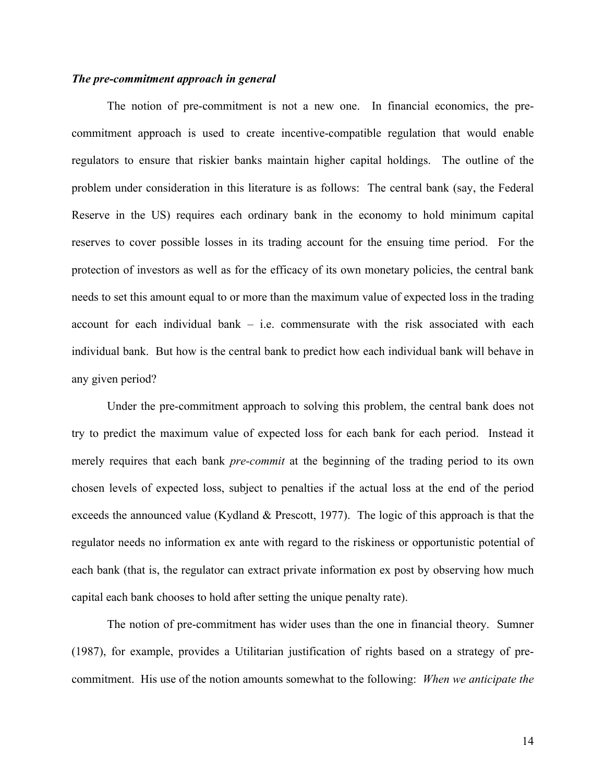#### *The pre-commitment approach in general*

The notion of pre-commitment is not a new one. In financial economics, the precommitment approach is used to create incentive-compatible regulation that would enable regulators to ensure that riskier banks maintain higher capital holdings. The outline of the problem under consideration in this literature is as follows: The central bank (say, the Federal Reserve in the US) requires each ordinary bank in the economy to hold minimum capital reserves to cover possible losses in its trading account for the ensuing time period. For the protection of investors as well as for the efficacy of its own monetary policies, the central bank needs to set this amount equal to or more than the maximum value of expected loss in the trading account for each individual bank – i.e. commensurate with the risk associated with each individual bank. But how is the central bank to predict how each individual bank will behave in any given period?

Under the pre-commitment approach to solving this problem, the central bank does not try to predict the maximum value of expected loss for each bank for each period. Instead it merely requires that each bank *pre-commit* at the beginning of the trading period to its own chosen levels of expected loss, subject to penalties if the actual loss at the end of the period exceeds the announced value (Kydland & Prescott, 1977). The logic of this approach is that the regulator needs no information ex ante with regard to the riskiness or opportunistic potential of each bank (that is, the regulator can extract private information ex post by observing how much capital each bank chooses to hold after setting the unique penalty rate).

The notion of pre-commitment has wider uses than the one in financial theory. Sumner (1987), for example, provides a Utilitarian justification of rights based on a strategy of precommitment. His use of the notion amounts somewhat to the following: *When we anticipate the* 

14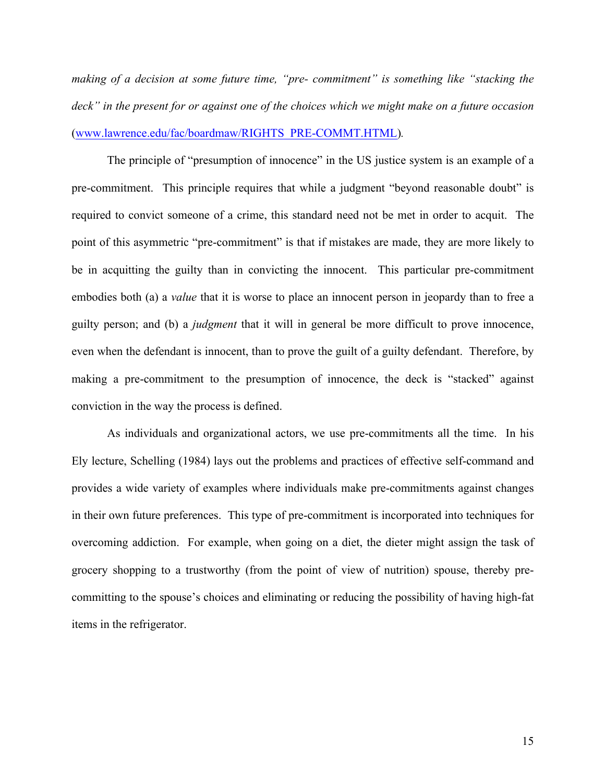*making of a decision at some future time, "pre- commitment" is something like "stacking the deck" in the present for or against one of the choices which we might make on a future occasion* (www.lawrence.edu/fac/boardmaw/RIGHTS\_PRE-COMMT.HTML)*.*

The principle of "presumption of innocence" in the US justice system is an example of a pre-commitment. This principle requires that while a judgment "beyond reasonable doubt" is required to convict someone of a crime, this standard need not be met in order to acquit. The point of this asymmetric "pre-commitment" is that if mistakes are made, they are more likely to be in acquitting the guilty than in convicting the innocent. This particular pre-commitment embodies both (a) a *value* that it is worse to place an innocent person in jeopardy than to free a guilty person; and (b) a *judgment* that it will in general be more difficult to prove innocence, even when the defendant is innocent, than to prove the guilt of a guilty defendant. Therefore, by making a pre-commitment to the presumption of innocence, the deck is "stacked" against conviction in the way the process is defined.

As individuals and organizational actors, we use pre-commitments all the time. In his Ely lecture, Schelling (1984) lays out the problems and practices of effective self-command and provides a wide variety of examples where individuals make pre-commitments against changes in their own future preferences. This type of pre-commitment is incorporated into techniques for overcoming addiction. For example, when going on a diet, the dieter might assign the task of grocery shopping to a trustworthy (from the point of view of nutrition) spouse, thereby precommitting to the spouse's choices and eliminating or reducing the possibility of having high-fat items in the refrigerator.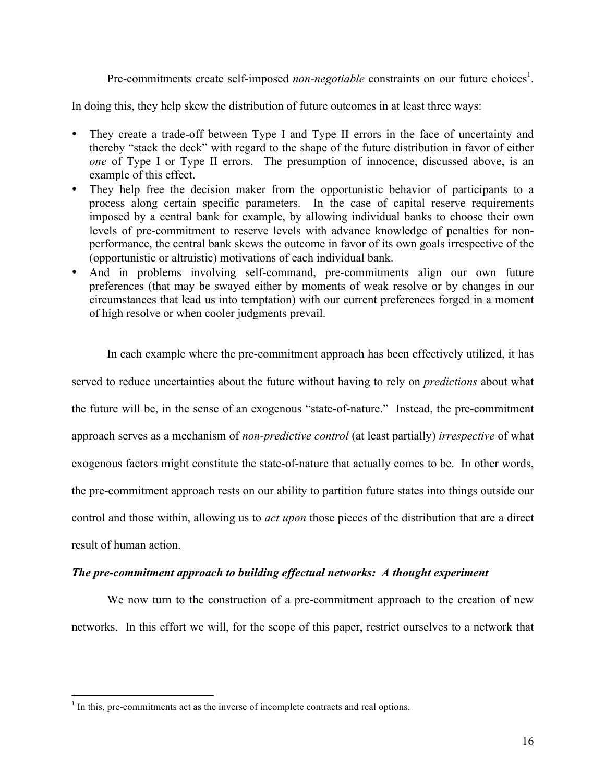## Pre-commitments create self-imposed *non-negotiable* constraints on our future choices<sup>1</sup>.

In doing this, they help skew the distribution of future outcomes in at least three ways:

- They create a trade-off between Type I and Type II errors in the face of uncertainty and thereby "stack the deck" with regard to the shape of the future distribution in favor of either *one* of Type I or Type II errors. The presumption of innocence, discussed above, is an example of this effect.
- They help free the decision maker from the opportunistic behavior of participants to a process along certain specific parameters. In the case of capital reserve requirements imposed by a central bank for example, by allowing individual banks to choose their own levels of pre-commitment to reserve levels with advance knowledge of penalties for nonperformance, the central bank skews the outcome in favor of its own goals irrespective of the (opportunistic or altruistic) motivations of each individual bank.
- And in problems involving self-command, pre-commitments align our own future preferences (that may be swayed either by moments of weak resolve or by changes in our circumstances that lead us into temptation) with our current preferences forged in a moment of high resolve or when cooler judgments prevail.

In each example where the pre-commitment approach has been effectively utilized, it has served to reduce uncertainties about the future without having to rely on *predictions* about what the future will be, in the sense of an exogenous "state-of-nature." Instead, the pre-commitment approach serves as a mechanism of *non-predictive control* (at least partially) *irrespective* of what exogenous factors might constitute the state-of-nature that actually comes to be. In other words, the pre-commitment approach rests on our ability to partition future states into things outside our control and those within, allowing us to *act upon* those pieces of the distribution that are a direct result of human action.

### *The pre-commitment approach to building effectual networks: A thought experiment*

We now turn to the construction of a pre-commitment approach to the creation of new networks. In this effort we will, for the scope of this paper, restrict ourselves to a network that

<sup>&</sup>lt;sup>1</sup> In this, pre-commitments act as the inverse of incomplete contracts and real options.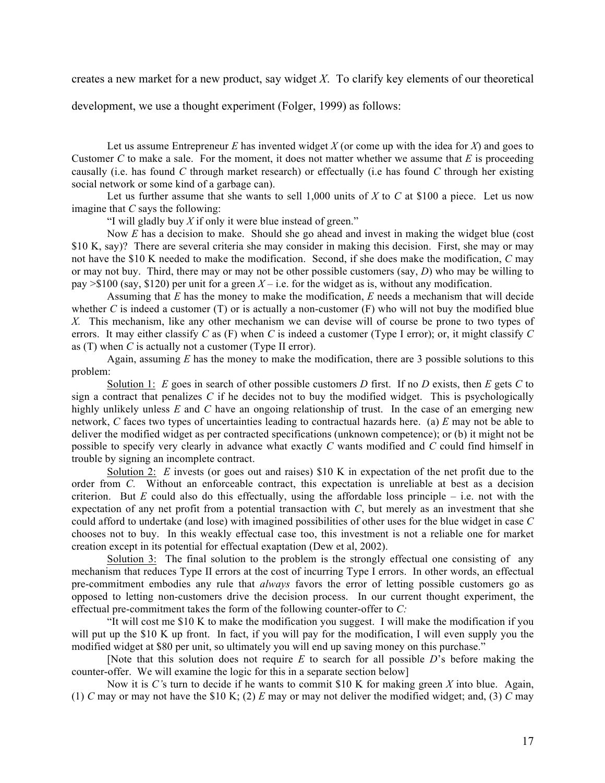creates a new market for a new product, say widget *X*. To clarify key elements of our theoretical

development, we use a thought experiment (Folger, 1999) as follows:

Let us assume Entrepreneur  $E$  has invented widget  $X$  (or come up with the idea for  $X$ ) and goes to Customer *C* to make a sale. For the moment, it does not matter whether we assume that *E* is proceeding causally (i.e. has found *C* through market research) or effectually (i.e has found *C* through her existing social network or some kind of a garbage can).

Let us further assume that she wants to sell 1,000 units of *X* to *C* at \$100 a piece. Let us now imagine that *C* says the following:

"I will gladly buy *X* if only it were blue instead of green."

Now *E* has a decision to make. Should she go ahead and invest in making the widget blue (cost \$10 K, say)? There are several criteria she may consider in making this decision. First, she may or may not have the \$10 K needed to make the modification. Second, if she does make the modification, *C* may or may not buy. Third, there may or may not be other possible customers (say, *D*) who may be willing to pay  $>$ \$100 (say, \$120) per unit for a green *X* – i.e. for the widget as is, without any modification.

Assuming that *E* has the money to make the modification, *E* needs a mechanism that will decide whether *C* is indeed a customer (T) or is actually a non-customer (F) who will not buy the modified blue *X.* This mechanism, like any other mechanism we can devise will of course be prone to two types of errors. It may either classify *C* as (F) when *C* is indeed a customer (Type I error); or, it might classify *C* as (T) when *C* is actually not a customer (Type II error).

Again, assuming *E* has the money to make the modification, there are 3 possible solutions to this problem:

Solution 1: *E* goes in search of other possible customers *D* first. If no *D* exists, then *E* gets *C* to sign a contract that penalizes *C* if he decides not to buy the modified widget. This is psychologically highly unlikely unless E and C have an ongoing relationship of trust. In the case of an emerging new network, *C* faces two types of uncertainties leading to contractual hazards here. (a) *E* may not be able to deliver the modified widget as per contracted specifications (unknown competence); or (b) it might not be possible to specify very clearly in advance what exactly *C* wants modified and *C* could find himself in trouble by signing an incomplete contract.

Solution 2: *E* invests (or goes out and raises) \$10 K in expectation of the net profit due to the order from *C.* Without an enforceable contract, this expectation is unreliable at best as a decision criterion. But *E* could also do this effectually, using the affordable loss principle – i.e. not with the expectation of any net profit from a potential transaction with *C*, but merely as an investment that she could afford to undertake (and lose) with imagined possibilities of other uses for the blue widget in case *C* chooses not to buy. In this weakly effectual case too, this investment is not a reliable one for market creation except in its potential for effectual exaptation (Dew et al, 2002).

Solution 3: The final solution to the problem is the strongly effectual one consisting of any mechanism that reduces Type II errors at the cost of incurring Type I errors. In other words, an effectual pre-commitment embodies any rule that *always* favors the error of letting possible customers go as opposed to letting non-customers drive the decision process. In our current thought experiment, the effectual pre-commitment takes the form of the following counter-offer to *C:*

"It will cost me \$10 K to make the modification you suggest. I will make the modification if you will put up the \$10 K up front. In fact, if you will pay for the modification, I will even supply you the modified widget at \$80 per unit, so ultimately you will end up saving money on this purchase."

[Note that this solution does not require *E* to search for all possible *D*'s before making the counter-offer. We will examine the logic for this in a separate section below]

Now it is *C'*s turn to decide if he wants to commit \$10 K for making green *X* into blue. Again, (1) *C* may or may not have the \$10 K; (2) *E* may or may not deliver the modified widget; and, (3) *C* may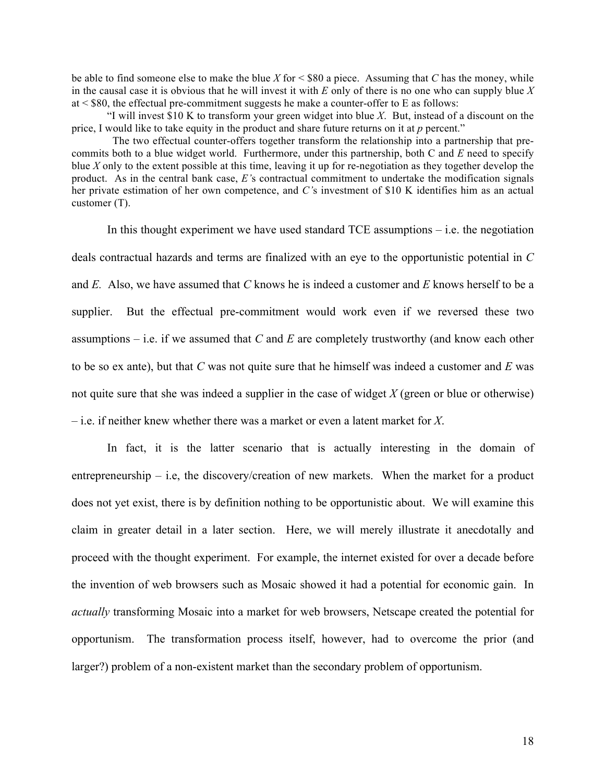be able to find someone else to make the blue *X* for < \$80 a piece. Assuming that *C* has the money, while in the causal case it is obvious that he will invest it with *E* only of there is no one who can supply blue *X* at < \$80, the effectual pre-commitment suggests he make a counter-offer to E as follows:

"I will invest \$10 K to transform your green widget into blue *X*. But, instead of a discount on the price, I would like to take equity in the product and share future returns on it at *p* percent."

 The two effectual counter-offers together transform the relationship into a partnership that precommits both to a blue widget world. Furthermore, under this partnership, both C and *E* need to specify blue *X* only to the extent possible at this time, leaving it up for re-negotiation as they together develop the product. As in the central bank case, *E'*s contractual commitment to undertake the modification signals her private estimation of her own competence, and *C'*s investment of \$10 K identifies him as an actual customer (T).

In this thought experiment we have used standard TCE assumptions – i.e. the negotiation deals contractual hazards and terms are finalized with an eye to the opportunistic potential in *C*  and *E.* Also, we have assumed that *C* knows he is indeed a customer and *E* knows herself to be a supplier. But the effectual pre-commitment would work even if we reversed these two assumptions – i.e. if we assumed that *C* and *E* are completely trustworthy (and know each other to be so ex ante), but that *C* was not quite sure that he himself was indeed a customer and *E* was not quite sure that she was indeed a supplier in the case of widget *X* (green or blue or otherwise) – i.e. if neither knew whether there was a market or even a latent market for *X*.

In fact, it is the latter scenario that is actually interesting in the domain of entrepreneurship  $-$  i.e, the discovery/creation of new markets. When the market for a product does not yet exist, there is by definition nothing to be opportunistic about. We will examine this claim in greater detail in a later section. Here, we will merely illustrate it anecdotally and proceed with the thought experiment. For example, the internet existed for over a decade before the invention of web browsers such as Mosaic showed it had a potential for economic gain. In *actually* transforming Mosaic into a market for web browsers, Netscape created the potential for opportunism. The transformation process itself, however, had to overcome the prior (and larger?) problem of a non-existent market than the secondary problem of opportunism.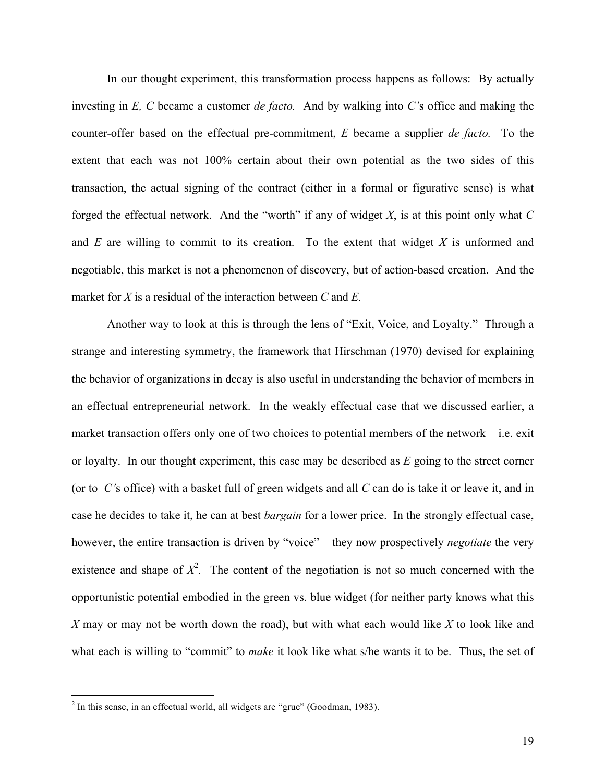In our thought experiment, this transformation process happens as follows: By actually investing in *E, C* became a customer *de facto.* And by walking into *C'*s office and making the counter-offer based on the effectual pre-commitment, *E* became a supplier *de facto.* To the extent that each was not 100% certain about their own potential as the two sides of this transaction, the actual signing of the contract (either in a formal or figurative sense) is what forged the effectual network. And the "worth" if any of widget *X*, is at this point only what *C*  and  $E$  are willing to commit to its creation. To the extent that widget  $X$  is unformed and negotiable, this market is not a phenomenon of discovery, but of action-based creation. And the market for *X* is a residual of the interaction between *C* and *E.*

Another way to look at this is through the lens of "Exit, Voice, and Loyalty." Through a strange and interesting symmetry, the framework that Hirschman (1970) devised for explaining the behavior of organizations in decay is also useful in understanding the behavior of members in an effectual entrepreneurial network. In the weakly effectual case that we discussed earlier, a market transaction offers only one of two choices to potential members of the network – i.e. exit or loyalty. In our thought experiment, this case may be described as *E* going to the street corner (or to *C'*s office) with a basket full of green widgets and all *C* can do is take it or leave it, and in case he decides to take it, he can at best *bargain* for a lower price. In the strongly effectual case, however, the entire transaction is driven by "voice" – they now prospectively *negotiate* the very existence and shape of  $X^2$ . The content of the negotiation is not so much concerned with the opportunistic potential embodied in the green vs. blue widget (for neither party knows what this *X* may or may not be worth down the road), but with what each would like *X* to look like and what each is willing to "commit" to *make* it look like what s/he wants it to be. Thus, the set of

 $2$  In this sense, in an effectual world, all widgets are "grue" (Goodman, 1983).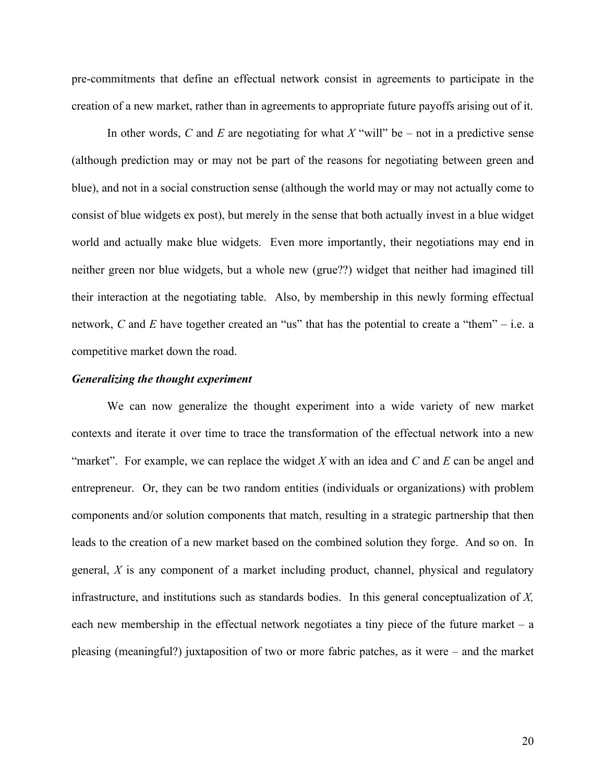pre-commitments that define an effectual network consist in agreements to participate in the creation of a new market, rather than in agreements to appropriate future payoffs arising out of it.

In other words, C and E are negotiating for what  $X$  "will" be – not in a predictive sense (although prediction may or may not be part of the reasons for negotiating between green and blue), and not in a social construction sense (although the world may or may not actually come to consist of blue widgets ex post), but merely in the sense that both actually invest in a blue widget world and actually make blue widgets. Even more importantly, their negotiations may end in neither green nor blue widgets, but a whole new (grue??) widget that neither had imagined till their interaction at the negotiating table. Also, by membership in this newly forming effectual network, *C* and *E* have together created an "us" that has the potential to create a "them" – i.e. a competitive market down the road.

#### *Generalizing the thought experiment*

We can now generalize the thought experiment into a wide variety of new market contexts and iterate it over time to trace the transformation of the effectual network into a new "market". For example, we can replace the widget *X* with an idea and *C* and *E* can be angel and entrepreneur. Or, they can be two random entities (individuals or organizations) with problem components and/or solution components that match, resulting in a strategic partnership that then leads to the creation of a new market based on the combined solution they forge. And so on. In general, *X* is any component of a market including product, channel, physical and regulatory infrastructure, and institutions such as standards bodies. In this general conceptualization of *X,*  each new membership in the effectual network negotiates a tiny piece of the future market – a pleasing (meaningful?) juxtaposition of two or more fabric patches, as it were – and the market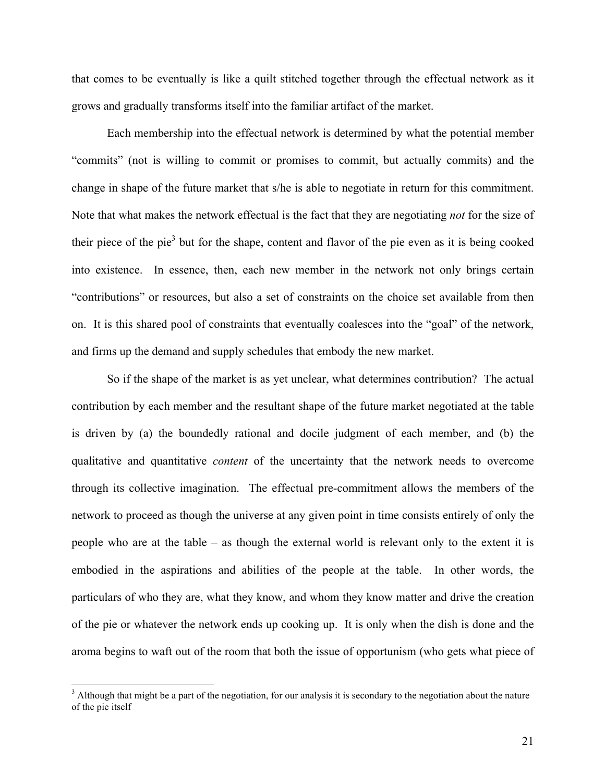that comes to be eventually is like a quilt stitched together through the effectual network as it grows and gradually transforms itself into the familiar artifact of the market.

Each membership into the effectual network is determined by what the potential member "commits" (not is willing to commit or promises to commit, but actually commits) and the change in shape of the future market that s/he is able to negotiate in return for this commitment. Note that what makes the network effectual is the fact that they are negotiating *not* for the size of their piece of the pie<sup>3</sup> but for the shape, content and flavor of the pie even as it is being cooked into existence. In essence, then, each new member in the network not only brings certain "contributions" or resources, but also a set of constraints on the choice set available from then on. It is this shared pool of constraints that eventually coalesces into the "goal" of the network, and firms up the demand and supply schedules that embody the new market.

So if the shape of the market is as yet unclear, what determines contribution? The actual contribution by each member and the resultant shape of the future market negotiated at the table is driven by (a) the boundedly rational and docile judgment of each member, and (b) the qualitative and quantitative *content* of the uncertainty that the network needs to overcome through its collective imagination. The effectual pre-commitment allows the members of the network to proceed as though the universe at any given point in time consists entirely of only the people who are at the table – as though the external world is relevant only to the extent it is embodied in the aspirations and abilities of the people at the table. In other words, the particulars of who they are, what they know, and whom they know matter and drive the creation of the pie or whatever the network ends up cooking up. It is only when the dish is done and the aroma begins to waft out of the room that both the issue of opportunism (who gets what piece of

 $3$  Although that might be a part of the negotiation, for our analysis it is secondary to the negotiation about the nature of the pie itself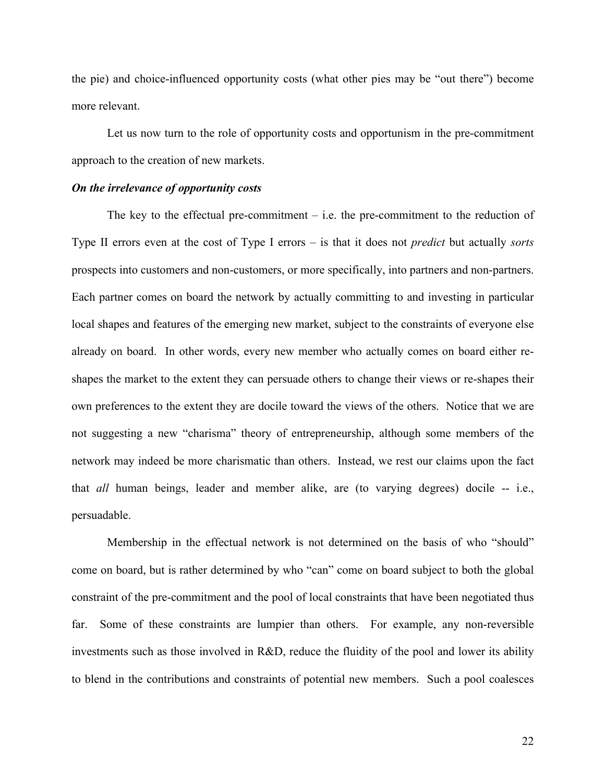the pie) and choice-influenced opportunity costs (what other pies may be "out there") become more relevant.

Let us now turn to the role of opportunity costs and opportunism in the pre-commitment approach to the creation of new markets.

#### *On the irrelevance of opportunity costs*

The key to the effectual pre-commitment  $-$  i.e. the pre-commitment to the reduction of Type II errors even at the cost of Type I errors – is that it does not *predict* but actually *sorts*  prospects into customers and non-customers, or more specifically, into partners and non-partners. Each partner comes on board the network by actually committing to and investing in particular local shapes and features of the emerging new market, subject to the constraints of everyone else already on board. In other words, every new member who actually comes on board either reshapes the market to the extent they can persuade others to change their views or re-shapes their own preferences to the extent they are docile toward the views of the others. Notice that we are not suggesting a new "charisma" theory of entrepreneurship, although some members of the network may indeed be more charismatic than others. Instead, we rest our claims upon the fact that *all* human beings, leader and member alike, are (to varying degrees) docile -- i.e., persuadable.

Membership in the effectual network is not determined on the basis of who "should" come on board, but is rather determined by who "can" come on board subject to both the global constraint of the pre-commitment and the pool of local constraints that have been negotiated thus far. Some of these constraints are lumpier than others. For example, any non-reversible investments such as those involved in R&D, reduce the fluidity of the pool and lower its ability to blend in the contributions and constraints of potential new members. Such a pool coalesces

22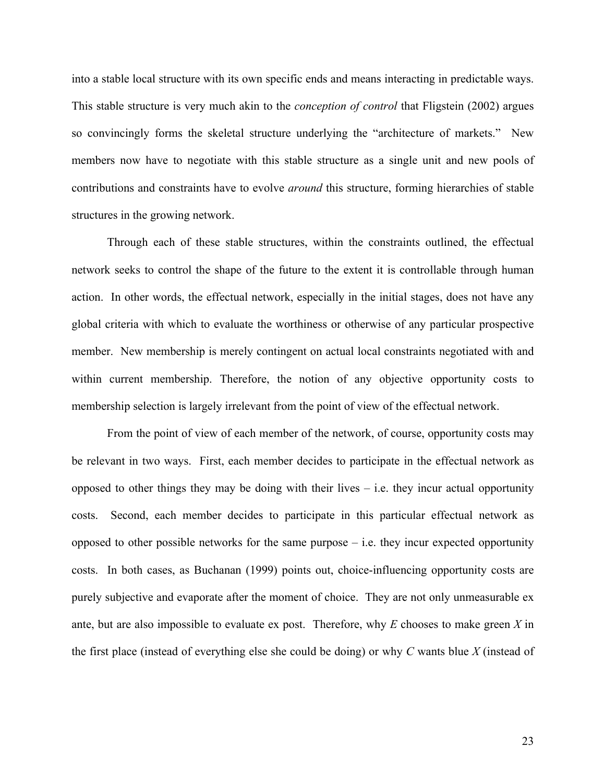into a stable local structure with its own specific ends and means interacting in predictable ways. This stable structure is very much akin to the *conception of control* that Fligstein (2002) argues so convincingly forms the skeletal structure underlying the "architecture of markets." New members now have to negotiate with this stable structure as a single unit and new pools of contributions and constraints have to evolve *around* this structure, forming hierarchies of stable structures in the growing network.

Through each of these stable structures, within the constraints outlined, the effectual network seeks to control the shape of the future to the extent it is controllable through human action. In other words, the effectual network, especially in the initial stages, does not have any global criteria with which to evaluate the worthiness or otherwise of any particular prospective member. New membership is merely contingent on actual local constraints negotiated with and within current membership. Therefore, the notion of any objective opportunity costs to membership selection is largely irrelevant from the point of view of the effectual network.

From the point of view of each member of the network, of course, opportunity costs may be relevant in two ways. First, each member decides to participate in the effectual network as opposed to other things they may be doing with their lives  $-$  i.e. they incur actual opportunity costs. Second, each member decides to participate in this particular effectual network as opposed to other possible networks for the same purpose  $-$  i.e. they incur expected opportunity costs. In both cases, as Buchanan (1999) points out, choice-influencing opportunity costs are purely subjective and evaporate after the moment of choice. They are not only unmeasurable ex ante, but are also impossible to evaluate ex post. Therefore, why *E* chooses to make green *X* in the first place (instead of everything else she could be doing) or why *C* wants blue *X* (instead of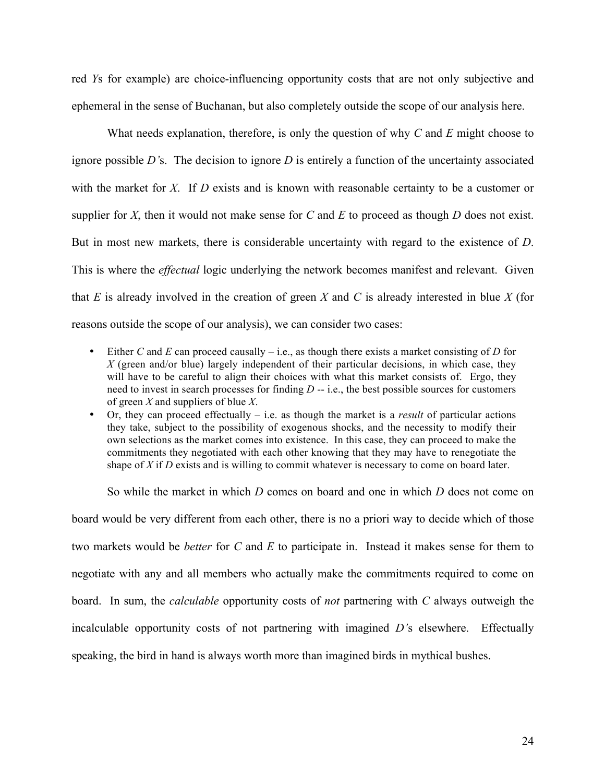red *Y*s for example) are choice-influencing opportunity costs that are not only subjective and ephemeral in the sense of Buchanan, but also completely outside the scope of our analysis here.

What needs explanation, therefore, is only the question of why *C* and *E* might choose to ignore possible *D'*s. The decision to ignore *D* is entirely a function of the uncertainty associated with the market for *X*. If *D* exists and is known with reasonable certainty to be a customer or supplier for *X*, then it would not make sense for *C* and *E* to proceed as though *D* does not exist. But in most new markets, there is considerable uncertainty with regard to the existence of *D*. This is where the *effectual* logic underlying the network becomes manifest and relevant. Given that *E* is already involved in the creation of green *X* and *C* is already interested in blue *X* (for reasons outside the scope of our analysis), we can consider two cases:

- Either *C* and *E* can proceed causally i.e., as though there exists a market consisting of *D* for *X* (green and/or blue) largely independent of their particular decisions, in which case, they will have to be careful to align their choices with what this market consists of. Ergo, they need to invest in search processes for finding *D* -- i.e., the best possible sources for customers of green *X* and suppliers of blue *X*.
- Or, they can proceed effectually i.e. as though the market is a *result* of particular actions they take, subject to the possibility of exogenous shocks, and the necessity to modify their own selections as the market comes into existence. In this case, they can proceed to make the commitments they negotiated with each other knowing that they may have to renegotiate the shape of *X* if *D* exists and is willing to commit whatever is necessary to come on board later.

So while the market in which *D* comes on board and one in which *D* does not come on

board would be very different from each other, there is no a priori way to decide which of those two markets would be *better* for *C* and *E* to participate in. Instead it makes sense for them to negotiate with any and all members who actually make the commitments required to come on board. In sum, the *calculable* opportunity costs of *not* partnering with *C* always outweigh the incalculable opportunity costs of not partnering with imagined *D'*s elsewhere. Effectually speaking, the bird in hand is always worth more than imagined birds in mythical bushes.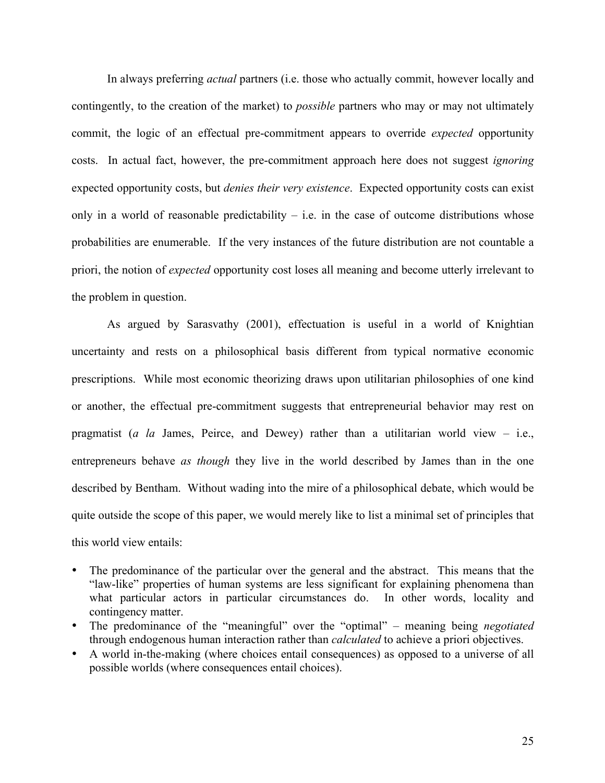In always preferring *actual* partners (i.e. those who actually commit, however locally and contingently, to the creation of the market) to *possible* partners who may or may not ultimately commit, the logic of an effectual pre-commitment appears to override *expected* opportunity costs. In actual fact, however, the pre-commitment approach here does not suggest *ignoring* expected opportunity costs, but *denies their very existence*. Expected opportunity costs can exist only in a world of reasonable predictability  $-$  i.e. in the case of outcome distributions whose probabilities are enumerable. If the very instances of the future distribution are not countable a priori, the notion of *expected* opportunity cost loses all meaning and become utterly irrelevant to the problem in question.

As argued by Sarasvathy (2001), effectuation is useful in a world of Knightian uncertainty and rests on a philosophical basis different from typical normative economic prescriptions. While most economic theorizing draws upon utilitarian philosophies of one kind or another, the effectual pre-commitment suggests that entrepreneurial behavior may rest on pragmatist (*a la* James, Peirce, and Dewey) rather than a utilitarian world view – i.e., entrepreneurs behave *as though* they live in the world described by James than in the one described by Bentham. Without wading into the mire of a philosophical debate, which would be quite outside the scope of this paper, we would merely like to list a minimal set of principles that this world view entails:

- The predominance of the particular over the general and the abstract. This means that the "law-like" properties of human systems are less significant for explaining phenomena than what particular actors in particular circumstances do. In other words, locality and contingency matter.
- The predominance of the "meaningful" over the "optimal" meaning being *negotiated* through endogenous human interaction rather than *calculated* to achieve a priori objectives.
- A world in-the-making (where choices entail consequences) as opposed to a universe of all possible worlds (where consequences entail choices).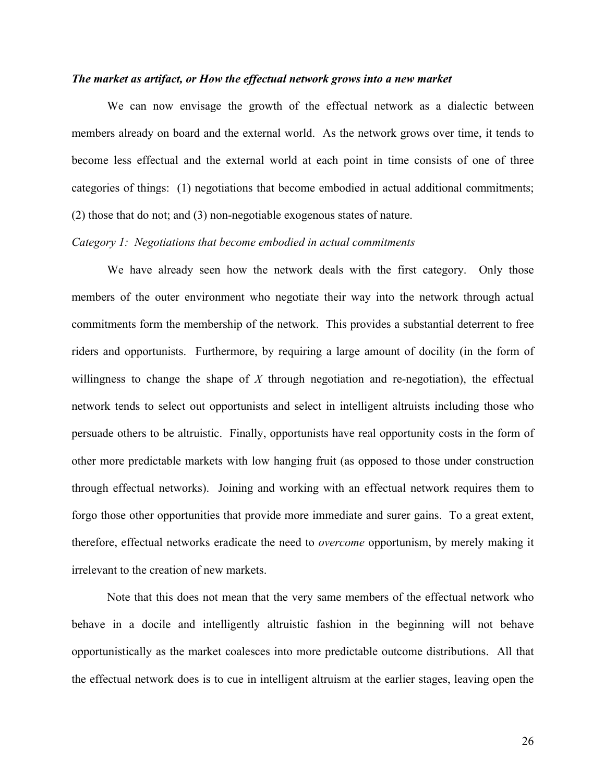#### *The market as artifact, or How the effectual network grows into a new market*

We can now envisage the growth of the effectual network as a dialectic between members already on board and the external world. As the network grows over time, it tends to become less effectual and the external world at each point in time consists of one of three categories of things: (1) negotiations that become embodied in actual additional commitments; (2) those that do not; and (3) non-negotiable exogenous states of nature.

#### *Category 1: Negotiations that become embodied in actual commitments*

We have already seen how the network deals with the first category. Only those members of the outer environment who negotiate their way into the network through actual commitments form the membership of the network. This provides a substantial deterrent to free riders and opportunists. Furthermore, by requiring a large amount of docility (in the form of willingness to change the shape of *X* through negotiation and re-negotiation), the effectual network tends to select out opportunists and select in intelligent altruists including those who persuade others to be altruistic. Finally, opportunists have real opportunity costs in the form of other more predictable markets with low hanging fruit (as opposed to those under construction through effectual networks). Joining and working with an effectual network requires them to forgo those other opportunities that provide more immediate and surer gains. To a great extent, therefore, effectual networks eradicate the need to *overcome* opportunism, by merely making it irrelevant to the creation of new markets.

Note that this does not mean that the very same members of the effectual network who behave in a docile and intelligently altruistic fashion in the beginning will not behave opportunistically as the market coalesces into more predictable outcome distributions. All that the effectual network does is to cue in intelligent altruism at the earlier stages, leaving open the

26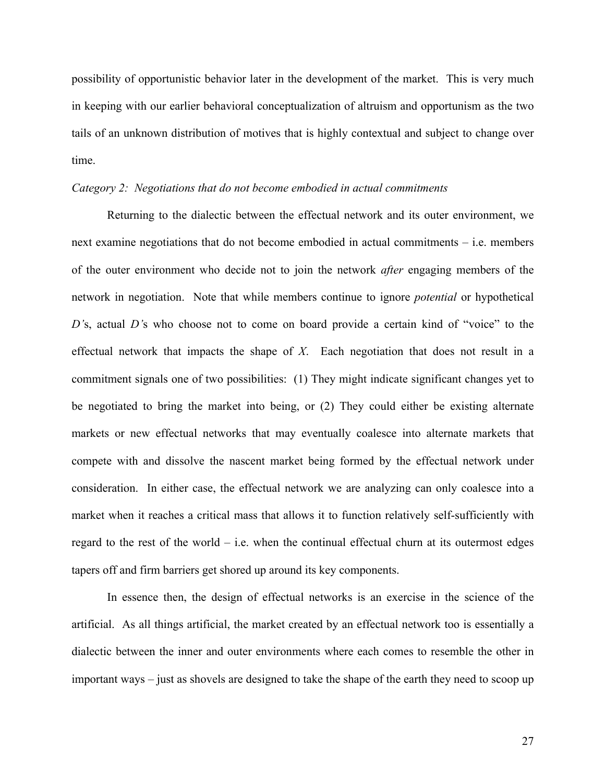possibility of opportunistic behavior later in the development of the market. This is very much in keeping with our earlier behavioral conceptualization of altruism and opportunism as the two tails of an unknown distribution of motives that is highly contextual and subject to change over time.

#### *Category 2: Negotiations that do not become embodied in actual commitments*

Returning to the dialectic between the effectual network and its outer environment, we next examine negotiations that do not become embodied in actual commitments – i.e. members of the outer environment who decide not to join the network *after* engaging members of the network in negotiation. Note that while members continue to ignore *potential* or hypothetical *D'*s, actual *D'*s who choose not to come on board provide a certain kind of "voice" to the effectual network that impacts the shape of *X*. Each negotiation that does not result in a commitment signals one of two possibilities: (1) They might indicate significant changes yet to be negotiated to bring the market into being, or (2) They could either be existing alternate markets or new effectual networks that may eventually coalesce into alternate markets that compete with and dissolve the nascent market being formed by the effectual network under consideration. In either case, the effectual network we are analyzing can only coalesce into a market when it reaches a critical mass that allows it to function relatively self-sufficiently with regard to the rest of the world  $-$  i.e. when the continual effectual churn at its outermost edges tapers off and firm barriers get shored up around its key components.

In essence then, the design of effectual networks is an exercise in the science of the artificial. As all things artificial, the market created by an effectual network too is essentially a dialectic between the inner and outer environments where each comes to resemble the other in important ways – just as shovels are designed to take the shape of the earth they need to scoop up

27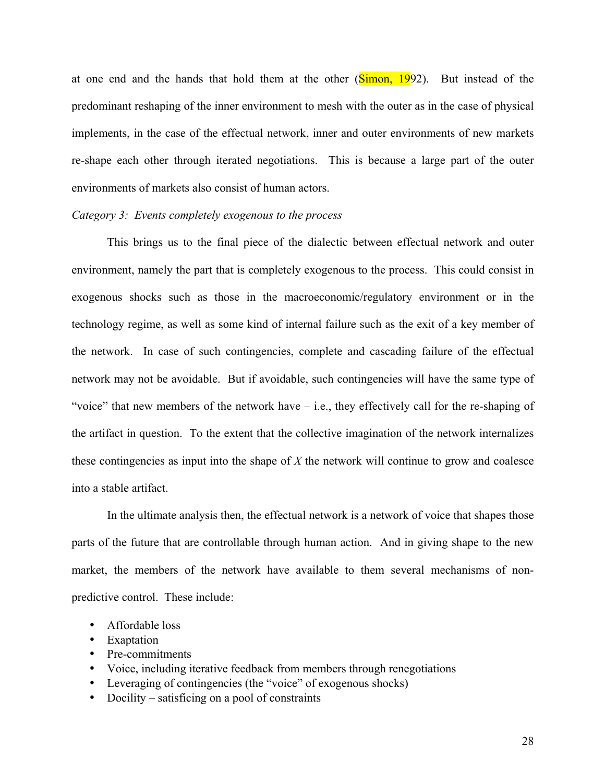at one end and the hands that hold them at the other (Simon, 1992). But instead of the predominant reshaping of the inner environment to mesh with the outer as in the case of physical implements, in the case of the effectual network, inner and outer environments of new markets re-shape each other through iterated negotiations. This is because a large part of the outer environments of markets also consist of human actors.

#### *Category 3: Events completely exogenous to the process*

This brings us to the final piece of the dialectic between effectual network and outer environment, namely the part that is completely exogenous to the process. This could consist in exogenous shocks such as those in the macroeconomic/regulatory environment or in the technology regime, as well as some kind of internal failure such as the exit of a key member of the network. In case of such contingencies, complete and cascading failure of the effectual network may not be avoidable. But if avoidable, such contingencies will have the same type of "voice" that new members of the network have  $-$  i.e., they effectively call for the re-shaping of the artifact in question. To the extent that the collective imagination of the network internalizes these contingencies as input into the shape of *X* the network will continue to grow and coalesce into a stable artifact.

In the ultimate analysis then, the effectual network is a network of voice that shapes those parts of the future that are controllable through human action. And in giving shape to the new market, the members of the network have available to them several mechanisms of nonpredictive control. These include:

- Affordable loss
- Exaptation
- Pre-commitments
- Voice, including iterative feedback from members through renegotiations
- Leveraging of contingencies (the "voice" of exogenous shocks)
- Docility satisficing on a pool of constraints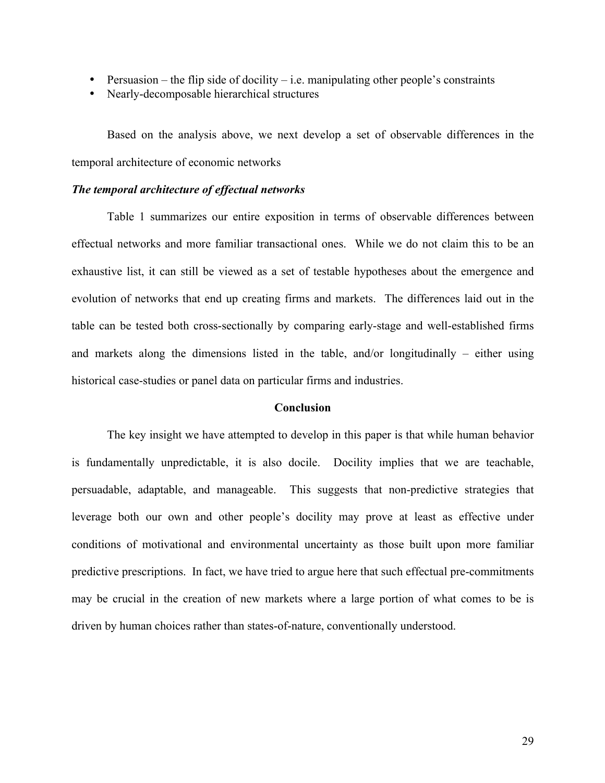- Persuasion the flip side of docility i.e. manipulating other people's constraints
- Nearly-decomposable hierarchical structures

Based on the analysis above, we next develop a set of observable differences in the temporal architecture of economic networks

#### *The temporal architecture of effectual networks*

Table 1 summarizes our entire exposition in terms of observable differences between effectual networks and more familiar transactional ones. While we do not claim this to be an exhaustive list, it can still be viewed as a set of testable hypotheses about the emergence and evolution of networks that end up creating firms and markets. The differences laid out in the table can be tested both cross-sectionally by comparing early-stage and well-established firms and markets along the dimensions listed in the table, and/or longitudinally – either using historical case-studies or panel data on particular firms and industries.

### **Conclusion**

The key insight we have attempted to develop in this paper is that while human behavior is fundamentally unpredictable, it is also docile. Docility implies that we are teachable, persuadable, adaptable, and manageable. This suggests that non-predictive strategies that leverage both our own and other people's docility may prove at least as effective under conditions of motivational and environmental uncertainty as those built upon more familiar predictive prescriptions. In fact, we have tried to argue here that such effectual pre-commitments may be crucial in the creation of new markets where a large portion of what comes to be is driven by human choices rather than states-of-nature, conventionally understood.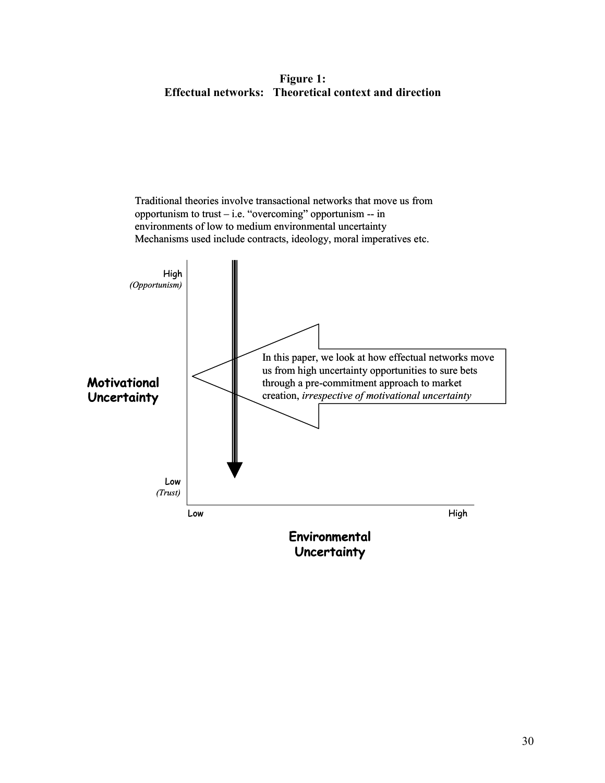## **Figure 1: Effectual networks: Theoretical context and direction**

Traditional theories involve transactional networks that move us from opportunism to trust – i.e. "overcoming" opportunism -- in environments of low to medium environmental uncertainty Mechanisms used include contracts, ideology, moral imperatives etc. In this paper, we look at how effectual networks move us from high uncertainty opportunities to sure bets through a pre-commitment approach to market creation, *irrespective of motivational uncertainty* **Motivational Uncertainty** High *(Opportunism)* Low *(Trust)* **Environmental Uncertainty** Low High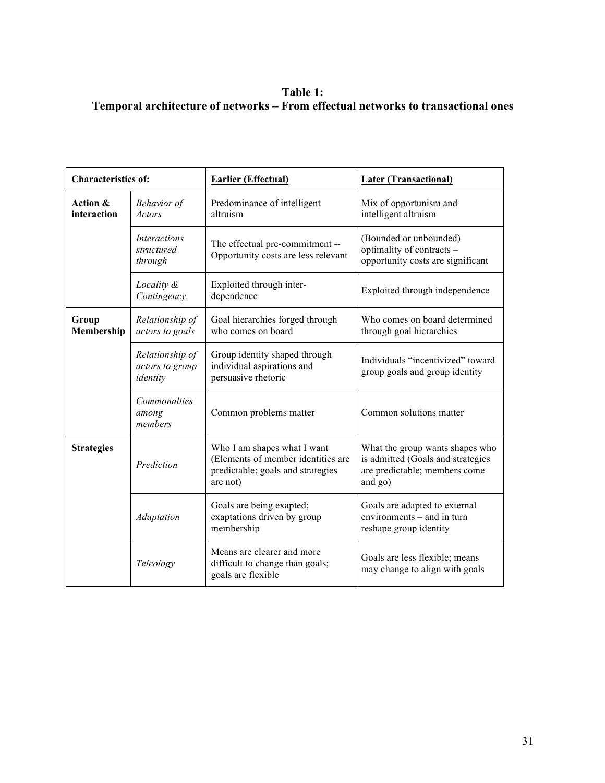# **Table 1: Temporal architecture of networks – From effectual networks to transactional ones**

| <b>Characteristics of:</b> |                                                | <b>Earlier (Effectual)</b>                                                                                         | <b>Later (Transactional)</b>                                                                                     |
|----------------------------|------------------------------------------------|--------------------------------------------------------------------------------------------------------------------|------------------------------------------------------------------------------------------------------------------|
| Action &<br>interaction    | <b>Behavior</b> of<br><b>Actors</b>            | Predominance of intelligent<br>altruism                                                                            | Mix of opportunism and<br>intelligent altruism                                                                   |
|                            | <i>Interactions</i><br>structured<br>through   | The effectual pre-commitment --<br>Opportunity costs are less relevant                                             | (Bounded or unbounded)<br>optimality of contracts -<br>opportunity costs are significant                         |
|                            | Locality &<br>Contingency                      | Exploited through inter-<br>dependence                                                                             | Exploited through independence                                                                                   |
| Group<br>Membership        | Relationship of<br>actors to goals             | Goal hierarchies forged through<br>who comes on board                                                              | Who comes on board determined<br>through goal hierarchies                                                        |
|                            | Relationship of<br>actors to group<br>identity | Group identity shaped through<br>individual aspirations and<br>persuasive rhetoric                                 | Individuals "incentivized" toward<br>group goals and group identity                                              |
|                            | <b>Commonalties</b><br>among<br>members        | Common problems matter                                                                                             | Common solutions matter                                                                                          |
| <b>Strategies</b>          | Prediction                                     | Who I am shapes what I want<br>(Elements of member identities are<br>predictable; goals and strategies<br>are not) | What the group wants shapes who<br>is admitted (Goals and strategies<br>are predictable; members come<br>and go) |
|                            | Adaptation                                     | Goals are being exapted;<br>exaptations driven by group<br>membership                                              | Goals are adapted to external<br>environments – and in turn<br>reshape group identity                            |
|                            | Teleology                                      | Means are clearer and more<br>difficult to change than goals;<br>goals are flexible                                | Goals are less flexible; means<br>may change to align with goals                                                 |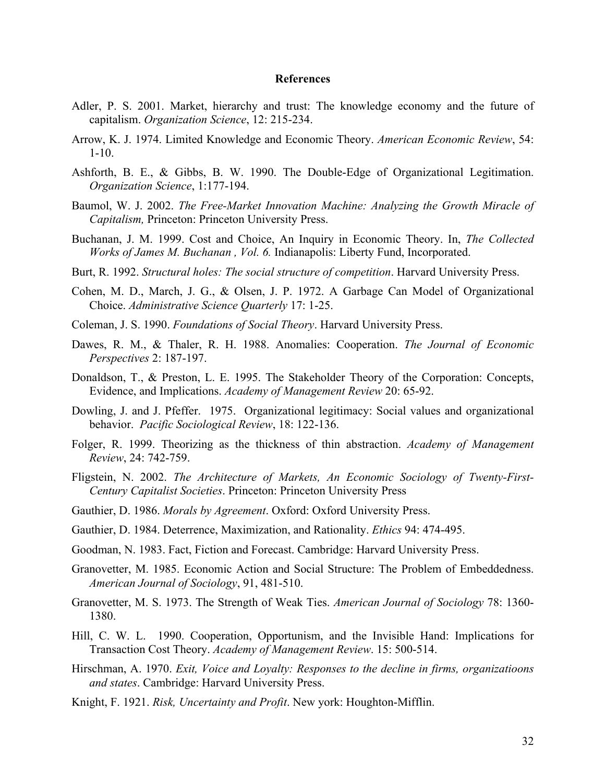#### **References**

- Adler, P. S. 2001. Market, hierarchy and trust: The knowledge economy and the future of capitalism. *Organization Science*, 12: 215-234.
- Arrow, K. J. 1974. Limited Knowledge and Economic Theory. *American Economic Review*, 54: 1-10.
- Ashforth, B. E., & Gibbs, B. W. 1990. The Double-Edge of Organizational Legitimation. *Organization Science*, 1:177-194.
- Baumol, W. J. 2002. *The Free-Market Innovation Machine: Analyzing the Growth Miracle of Capitalism,* Princeton: Princeton University Press.
- Buchanan, J. M. 1999. Cost and Choice, An Inquiry in Economic Theory. In, *The Collected Works of James M. Buchanan , Vol. 6.* Indianapolis: Liberty Fund, Incorporated.
- Burt, R. 1992. *Structural holes: The social structure of competition*. Harvard University Press.
- Cohen, M. D., March, J. G., & Olsen, J. P. 1972. A Garbage Can Model of Organizational Choice. *Administrative Science Quarterly* 17: 1-25.
- Coleman, J. S. 1990. *Foundations of Social Theory*. Harvard University Press.
- Dawes, R. M., & Thaler, R. H. 1988. Anomalies: Cooperation. *The Journal of Economic Perspectives* 2: 187-197.
- Donaldson, T., & Preston, L. E. 1995. The Stakeholder Theory of the Corporation: Concepts, Evidence, and Implications. *Academy of Management Review* 20: 65-92.
- Dowling, J. and J. Pfeffer. 1975. Organizational legitimacy: Social values and organizational behavior. *Pacific Sociological Review*, 18: 122-136.
- Folger, R. 1999. Theorizing as the thickness of thin abstraction. *Academy of Management Review*, 24: 742-759.
- Fligstein, N. 2002. *The Architecture of Markets, An Economic Sociology of Twenty-First-Century Capitalist Societies*. Princeton: Princeton University Press
- Gauthier, D. 1986. *Morals by Agreement*. Oxford: Oxford University Press.
- Gauthier, D. 1984. Deterrence, Maximization, and Rationality. *Ethics* 94: 474-495.
- Goodman, N. 1983. Fact, Fiction and Forecast. Cambridge: Harvard University Press.
- Granovetter, M. 1985. Economic Action and Social Structure: The Problem of Embeddedness. *American Journal of Sociology*, 91, 481-510.
- Granovetter, M. S. 1973. The Strength of Weak Ties. *American Journal of Sociology* 78: 1360- 1380.
- Hill, C. W. L. 1990. Cooperation, Opportunism, and the Invisible Hand: Implications for Transaction Cost Theory. *Academy of Management Review*. 15: 500-514.
- Hirschman, A. 1970. *Exit, Voice and Loyalty: Responses to the decline in firms, organizatioons and states*. Cambridge: Harvard University Press.
- Knight, F. 1921. *Risk, Uncertainty and Profit*. New york: Houghton-Mifflin.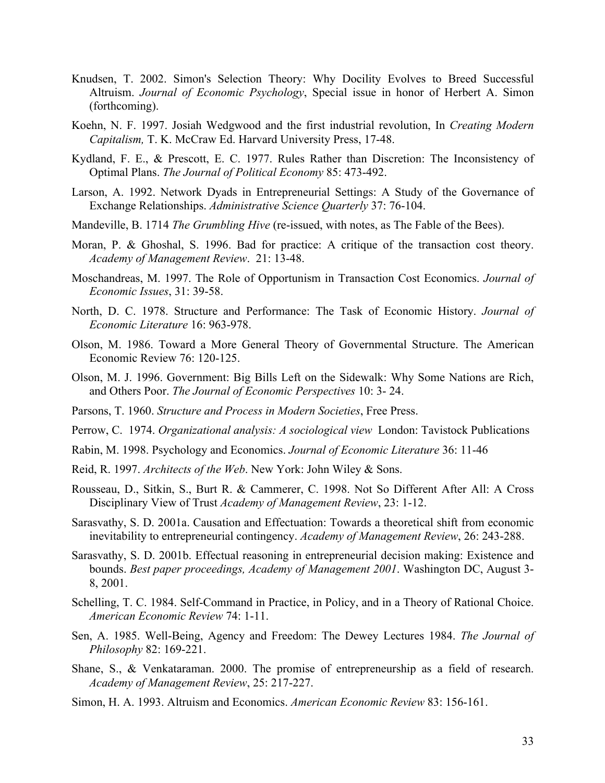- Knudsen, T. 2002. Simon's Selection Theory: Why Docility Evolves to Breed Successful Altruism. *Journal of Economic Psychology*, Special issue in honor of Herbert A. Simon (forthcoming).
- Koehn, N. F. 1997. Josiah Wedgwood and the first industrial revolution, In *Creating Modern Capitalism,* T. K. McCraw Ed. Harvard University Press, 17-48.
- Kydland, F. E., & Prescott, E. C. 1977. Rules Rather than Discretion: The Inconsistency of Optimal Plans. *The Journal of Political Economy* 85: 473-492.
- Larson, A. 1992. Network Dyads in Entrepreneurial Settings: A Study of the Governance of Exchange Relationships. *Administrative Science Quarterly* 37: 76-104.
- Mandeville, B. 1714 *The Grumbling Hive* (re-issued, with notes, as The Fable of the Bees).
- Moran, P. & Ghoshal, S. 1996. Bad for practice: A critique of the transaction cost theory. *Academy of Management Review*. 21: 13-48.
- Moschandreas, M. 1997. The Role of Opportunism in Transaction Cost Economics. *Journal of Economic Issues*, 31: 39-58.
- North, D. C. 1978. Structure and Performance: The Task of Economic History. *Journal of Economic Literature* 16: 963-978.
- Olson, M. 1986. Toward a More General Theory of Governmental Structure. The American Economic Review 76: 120-125.
- Olson, M. J. 1996. Government: Big Bills Left on the Sidewalk: Why Some Nations are Rich, and Others Poor. *The Journal of Economic Perspectives* 10: 3- 24.
- Parsons, T. 1960. *Structure and Process in Modern Societies*, Free Press.
- Perrow, C. 1974. *Organizational analysis: A sociological view* London: Tavistock Publications
- Rabin, M. 1998. Psychology and Economics. *Journal of Economic Literature* 36: 11-46
- Reid, R. 1997. *Architects of the Web*. New York: John Wiley & Sons.
- Rousseau, D., Sitkin, S., Burt R. & Cammerer, C. 1998. Not So Different After All: A Cross Disciplinary View of Trust *Academy of Management Review*, 23: 1-12.
- Sarasvathy, S. D. 2001a. Causation and Effectuation: Towards a theoretical shift from economic inevitability to entrepreneurial contingency. *Academy of Management Review*, 26: 243-288.
- Sarasvathy, S. D. 2001b. Effectual reasoning in entrepreneurial decision making: Existence and bounds. *Best paper proceedings, Academy of Management 2001*. Washington DC, August 3- 8, 2001.
- Schelling, T. C. 1984. Self-Command in Practice, in Policy, and in a Theory of Rational Choice. *American Economic Review* 74: 1-11.
- Sen, A. 1985. Well-Being, Agency and Freedom: The Dewey Lectures 1984. *The Journal of Philosophy* 82: 169-221.
- Shane, S., & Venkataraman. 2000. The promise of entrepreneurship as a field of research. *Academy of Management Review*, 25: 217-227.
- Simon, H. A. 1993. Altruism and Economics. *American Economic Review* 83: 156-161.